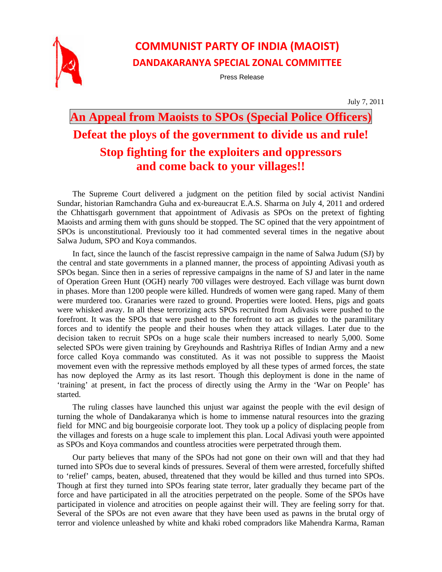

## **COMMUNIST PARTY OF INDIA (MAOIST) DANDAKARANYA SPECIAL ZONAL COMMITTEE**

Press Release

July 7, 2011

## **An Appeal from Maoists to SPOs (Special Police Officers) Defeat the ploys of the government to divide us and rule! Stop fighting for the exploiters and oppressors and come back to your villages!!**

The Supreme Court delivered a judgment on the petition filed by social activist Nandini Sundar, historian Ramchandra Guha and ex-bureaucrat E.A.S. Sharma on July 4, 2011 and ordered the Chhattisgarh government that appointment of Adivasis as SPOs on the pretext of fighting Maoists and arming them with guns should be stopped. The SC opined that the very appointment of SPOs is unconstitutional. Previously too it had commented several times in the negative about Salwa Judum, SPO and Koya commandos.

In fact, since the launch of the fascist repressive campaign in the name of Salwa Judum (SJ) by the central and state governments in a planned manner, the process of appointing Adivasi youth as SPOs began. Since then in a series of repressive campaigns in the name of SJ and later in the name of Operation Green Hunt (OGH) nearly 700 villages were destroyed. Each village was burnt down in phases. More than 1200 people were killed. Hundreds of women were gang raped. Many of them were murdered too. Granaries were razed to ground. Properties were looted. Hens, pigs and goats were whisked away. In all these terrorizing acts SPOs recruited from Adivasis were pushed to the forefront. It was the SPOs that were pushed to the forefront to act as guides to the paramilitary forces and to identify the people and their houses when they attack villages. Later due to the decision taken to recruit SPOs on a huge scale their numbers increased to nearly 5,000. Some selected SPOs were given training by Greyhounds and Rashtriya Rifles of Indian Army and a new force called Koya commando was constituted. As it was not possible to suppress the Maoist movement even with the repressive methods employed by all these types of armed forces, the state has now deployed the Army as its last resort. Though this deployment is done in the name of 'training' at present, in fact the process of directly using the Army in the 'War on People' has started.

The ruling classes have launched this unjust war against the people with the evil design of turning the whole of Dandakaranya which is home to immense natural resources into the grazing field for MNC and big bourgeoisie corporate loot. They took up a policy of displacing people from the villages and forests on a huge scale to implement this plan. Local Adivasi youth were appointed as SPOs and Koya commandos and countless atrocities were perpetrated through them.

Our party believes that many of the SPOs had not gone on their own will and that they had turned into SPOs due to several kinds of pressures. Several of them were arrested, forcefully shifted to 'relief' camps, beaten, abused, threatened that they would be killed and thus turned into SPOs. Though at first they turned into SPOs fearing state terror, later gradually they became part of the force and have participated in all the atrocities perpetrated on the people. Some of the SPOs have participated in violence and atrocities on people against their will. They are feeling sorry for that. Several of the SPOs are not even aware that they have been used as pawns in the brutal orgy of terror and violence unleashed by white and khaki robed compradors like Mahendra Karma, Raman